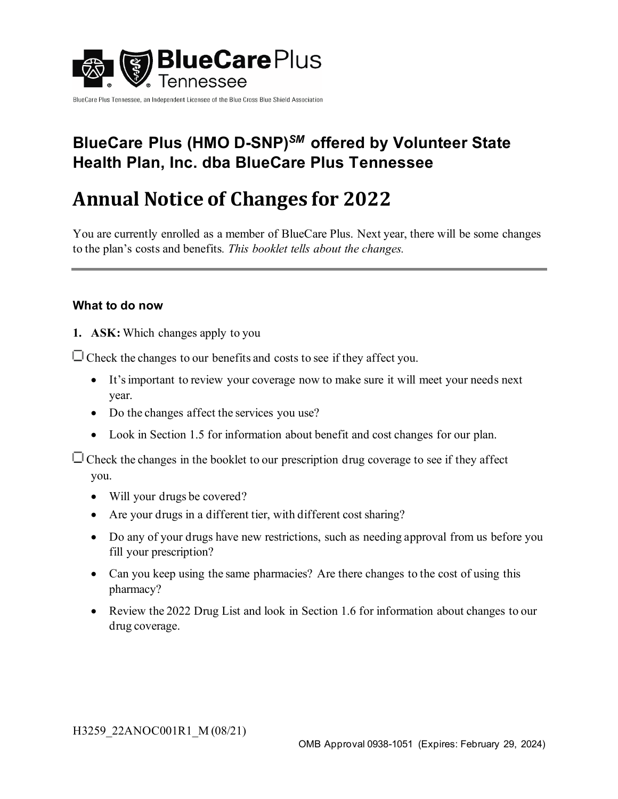

BlueCare Plus Tennessee, an Independent Licensee of the Blue Cross Blue Shield Association

# **BlueCare Plus (HMO D-SNP)***SM* **offered by Volunteer State Health Plan, Inc. dba BlueCare Plus Tennessee**

# **Annual Notice of Changes for 2022**

You are currently enrolled as a member of BlueCare Plus. Next year, there will be some changes to the plan's costs and benefits*. This booklet tells about the changes.*

## **What to do now**

**1. ASK:** Which changes apply to you

 $\Box$  Check the changes to our benefits and costs to see if they affect you.

- It's important to review your coverage now to make sure it will meet your needs next year.
- Do the changes affect the services you use?
- Look in Section 1.5 for information about benefit and cost changes for our plan.

 $\Box$  Check the changes in the booklet to our prescription drug coverage to see if they affect you.

- Will your drugs be covered?
- Are your drugs in a different tier, with different cost sharing?
- Do any of your drugs have new restrictions, such as needing approval from us before you fill your prescription?
- Can you keep using the same pharmacies? Are there changes to the cost of using this pharmacy?
- Review the 2022 Drug List and look in Section 1.6 for information about changes to our drug coverage.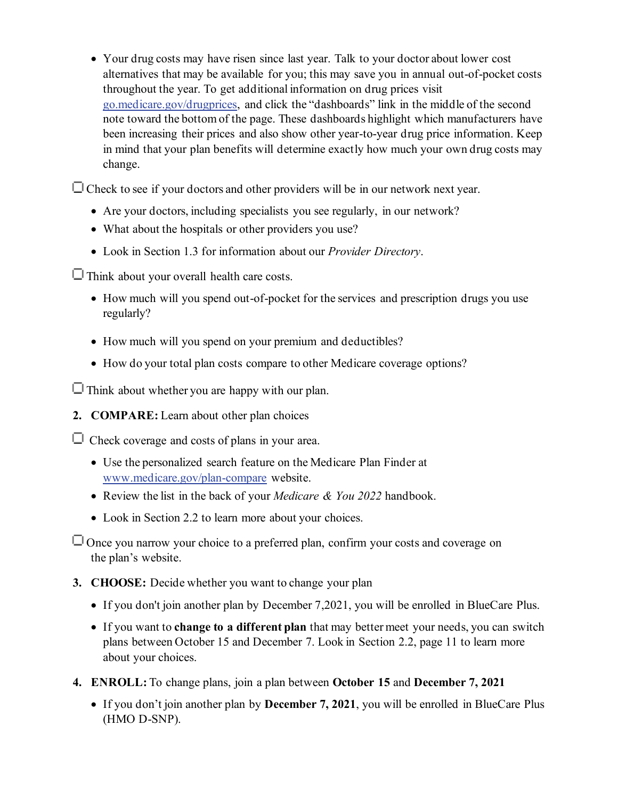• Your drug costs may have risen since last year. Talk to your doctor about lower cost alternatives that may be available for you; this may save you in annual out-of-pocket costs throughout the year. To get additional information on drug prices visit [go.medicare.gov/drugprices](https://go.medicare.gov/drugprices), and click the "dashboards" link in the middle of the second note toward the bottom of the page. These dashboards highlight which manufacturers have been increasing their prices and also show other year-to-year drug price information. Keep in mind that your plan benefits will determine exactly how much your own drug costs may change.

 $\Box$  Check to see if your doctors and other providers will be in our network next year.

- Are your doctors, including specialists you see regularly, in our network?
- What about the hospitals or other providers you use?
- Look in Section 1.3 for information about our *Provider Directory*.

 $\Box$  Think about your overall health care costs.

- How much will you spend out-of-pocket for the services and prescription drugs you use regularly?
- How much will you spend on your premium and deductibles?
- How do your total plan costs compare to other Medicare coverage options?

 $\Box$  Think about whether you are happy with our plan.

**2. COMPARE:** Learn about other plan choices

 $\Box$  Check coverage and costs of plans in your area.

- Use the personalized search feature on the Medicare Plan Finder at [www.medicare.gov/plan-compare](https://www.medicare.gov/plan-compare/) website.
- Review the list in the back of your *Medicare & You 2022* handbook.
- Look in Section 2.2 to learn more about your choices.

 $\Box$  Once you narrow your choice to a preferred plan, confirm your costs and coverage on the plan's website.

**3. CHOOSE:** Decide whether you want to change your plan

- If you don't join another plan by December 7,2021, you will be enrolled in BlueCare Plus.
- If you want to **change to a different plan** that may better meet your needs, you can switch plans between October 15 and December 7. Look in Section 2.2, page 11 to learn more about your choices.
- **4. ENROLL:** To change plans, join a plan between **October 15** and **December 7, 2021**
	- If you don't join another plan by **December 7, 2021**, you will be enrolled in BlueCare Plus (HMO D-SNP).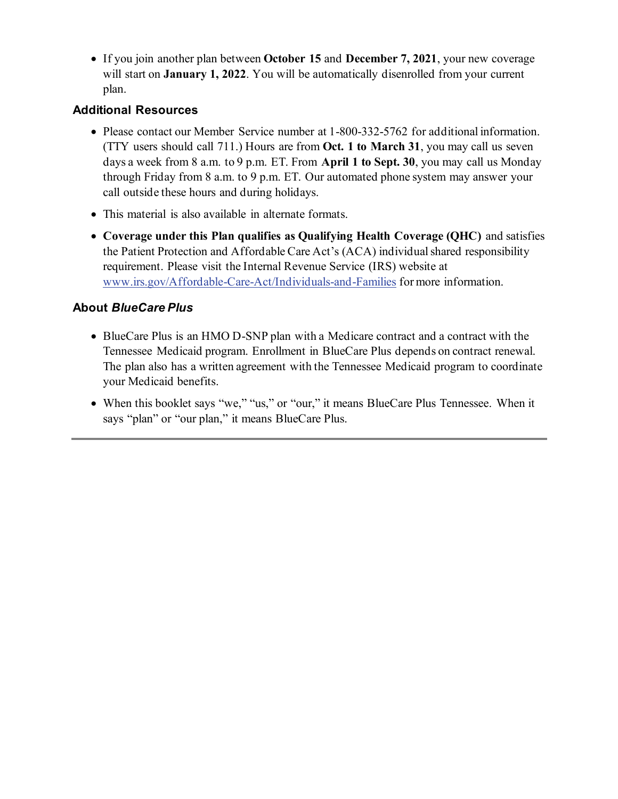• If you join another plan between **October 15** and **December 7, 2021**, your new coverage will start on **January 1, 2022**. You will be automatically disenrolled from your current plan.

### **Additional Resources**

- Please contact our Member Service number at 1-800-332-5762 for additional information. (TTY users should call 711.) Hours are from **Oct. 1 to March 31**, you may call us seven days a week from 8 a.m. to 9 p.m. ET. From **April 1 to Sept. 30**, you may call us Monday through Friday from 8 a.m. to 9 p.m. ET. Our automated phone system may answer your call outside these hours and during holidays.
- This material is also available in alternate formats.
- **Coverage under this Plan qualifies as Qualifying Health Coverage (QHC)** and satisfies the Patient Protection and Affordable Care Act's (ACA) individual shared responsibility requirement. Please visit the Internal Revenue Service (IRS) website at [www.irs.gov/Affordable-Care-Act/Individuals-and-Families](https://www.irs.gov/Affordable-Care-Act/Individuals-and-Families) for more information.

## **About** *BlueCare Plus*

- BlueCare Plus is an HMO D-SNP plan with a Medicare contract and a contract with the Tennessee Medicaid program. Enrollment in BlueCare Plus depends on contract renewal. The plan also has a written agreement with the Tennessee Medicaid program to coordinate your Medicaid benefits.
- When this booklet says "we," "us," or "our," it means BlueCare Plus Tennessee. When it says "plan" or "our plan," it means BlueCare Plus.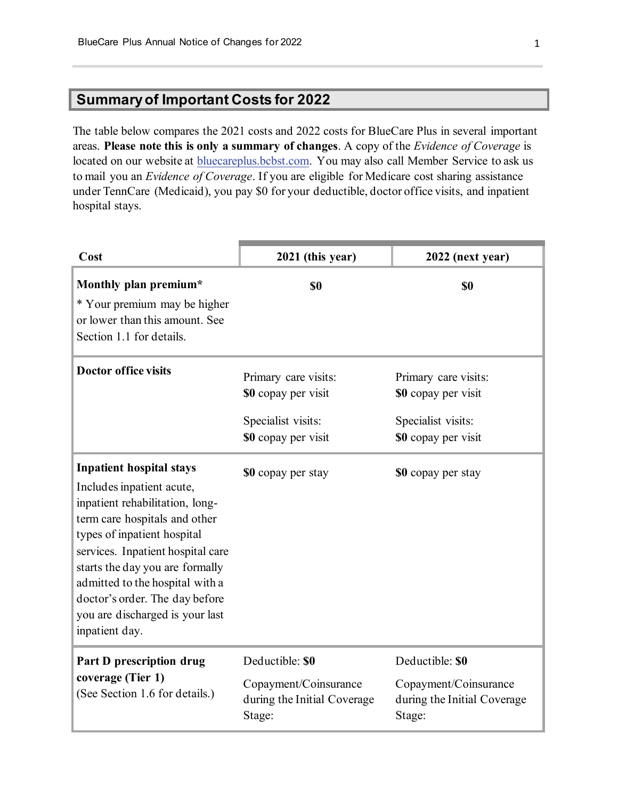# **Summary of Important Costs for 2022**

The table below compares the 2021 costs and 2022 costs for BlueCare Plus in several important areas. **Please note this is only a summary of changes**. A copy of the *Evidence of Coverage* is located on our website at [bluecareplus.bcbst.com.](https://bluecareplus.bcbst.com/) You may also call Member Service to ask us to mail you an *Evidence of Coverage*. If you are eligible for Medicare cost sharing assistance under TennCare (Medicaid), you pay \$0 for your deductible, doctor office visits, and inpatient hospital stays.

| Cost                                                                                                                                                                                                                                                                                                                                                              | 2021 (this year)                                                                         | 2022 (next year)                                                                         |
|-------------------------------------------------------------------------------------------------------------------------------------------------------------------------------------------------------------------------------------------------------------------------------------------------------------------------------------------------------------------|------------------------------------------------------------------------------------------|------------------------------------------------------------------------------------------|
| Monthly plan premium*<br>* Your premium may be higher<br>or lower than this amount. See<br>Section 1.1 for details.                                                                                                                                                                                                                                               | \$0                                                                                      | \$0                                                                                      |
| <b>Doctor office visits</b>                                                                                                                                                                                                                                                                                                                                       | Primary care visits:<br>\$0 copay per visit<br>Specialist visits:<br>\$0 copay per visit | Primary care visits:<br>\$0 copay per visit<br>Specialist visits:<br>\$0 copay per visit |
| <b>Inpatient hospital stays</b><br>Includes inpatient acute,<br>inpatient rehabilitation, long-<br>term care hospitals and other<br>types of inpatient hospital<br>services. Inpatient hospital care<br>starts the day you are formally<br>admitted to the hospital with a<br>doctor's order. The day before<br>you are discharged is your last<br>inpatient day. | \$0 copay per stay                                                                       | \$0 copay per stay                                                                       |
| Part D prescription drug<br>coverage (Tier 1)<br>(See Section 1.6 for details.)                                                                                                                                                                                                                                                                                   | Deductible: \$0<br>Copayment/Coinsurance<br>during the Initial Coverage<br>Stage:        | Deductible: \$0<br>Copayment/Coinsurance<br>during the Initial Coverage<br>Stage:        |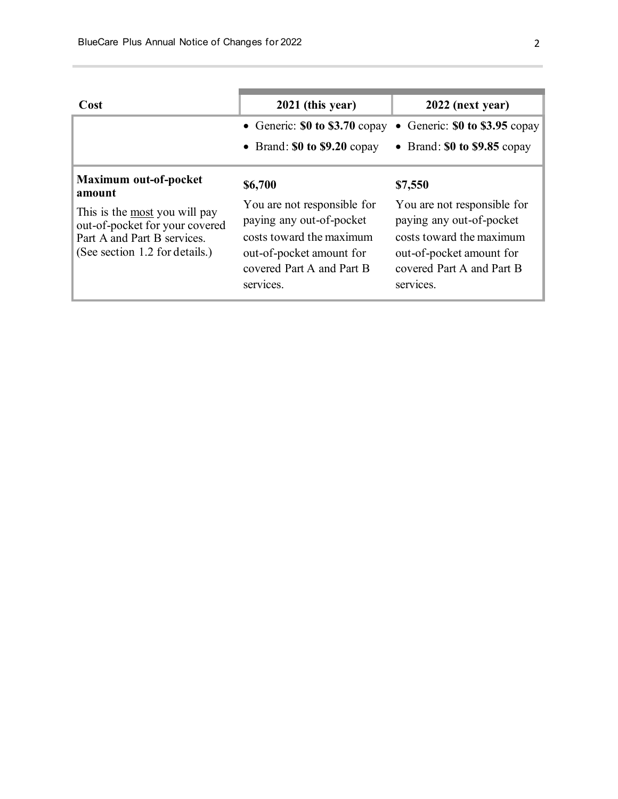| 2021 (this year)<br>Cost<br>2022 (next year)<br>• Generic: $$0$ to $$3.70$ copay<br>• Brand: $$0$ to $$9.85$ copay<br>• Brand: $$0$ to $$9.20$ copay<br><b>Maximum out-of-pocket</b><br>\$6,700<br>\$7,550<br>amount<br>You are not responsible for<br>You are not responsible for<br>This is the most you will pay<br>paying any out-of-pocket<br>paying any out-of-pocket<br>out-of-pocket for your covered<br>costs toward the maximum<br>costs toward the maximum<br>Part A and Part B services.<br>(See section 1.2 for details.)<br>out-of-pocket amount for<br>out-of-pocket amount for<br>covered Part A and Part B<br>covered Part A and Part B |           |                                  |  |
|----------------------------------------------------------------------------------------------------------------------------------------------------------------------------------------------------------------------------------------------------------------------------------------------------------------------------------------------------------------------------------------------------------------------------------------------------------------------------------------------------------------------------------------------------------------------------------------------------------------------------------------------------------|-----------|----------------------------------|--|
|                                                                                                                                                                                                                                                                                                                                                                                                                                                                                                                                                                                                                                                          |           |                                  |  |
|                                                                                                                                                                                                                                                                                                                                                                                                                                                                                                                                                                                                                                                          |           | • Generic: $$0$ to $$3.95$ copay |  |
|                                                                                                                                                                                                                                                                                                                                                                                                                                                                                                                                                                                                                                                          |           |                                  |  |
|                                                                                                                                                                                                                                                                                                                                                                                                                                                                                                                                                                                                                                                          | services. | services.                        |  |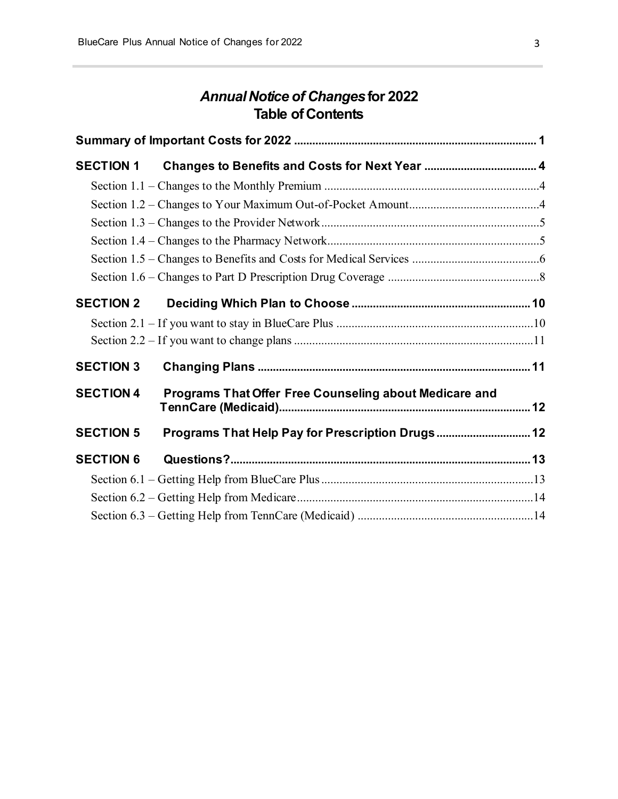# *Annual Notice of Changes***for 2022 Table of Contents**

| <b>SECTION 1</b> |                                                        |  |
|------------------|--------------------------------------------------------|--|
|                  |                                                        |  |
|                  |                                                        |  |
|                  |                                                        |  |
|                  |                                                        |  |
|                  |                                                        |  |
|                  |                                                        |  |
| <b>SECTION 2</b> |                                                        |  |
|                  |                                                        |  |
|                  |                                                        |  |
| <b>SECTION 3</b> |                                                        |  |
| <b>SECTION 4</b> | Programs That Offer Free Counseling about Medicare and |  |
| <b>SECTION 5</b> | Programs That Help Pay for Prescription Drugs 12       |  |
| <b>SECTION 6</b> |                                                        |  |
|                  |                                                        |  |
|                  |                                                        |  |
|                  |                                                        |  |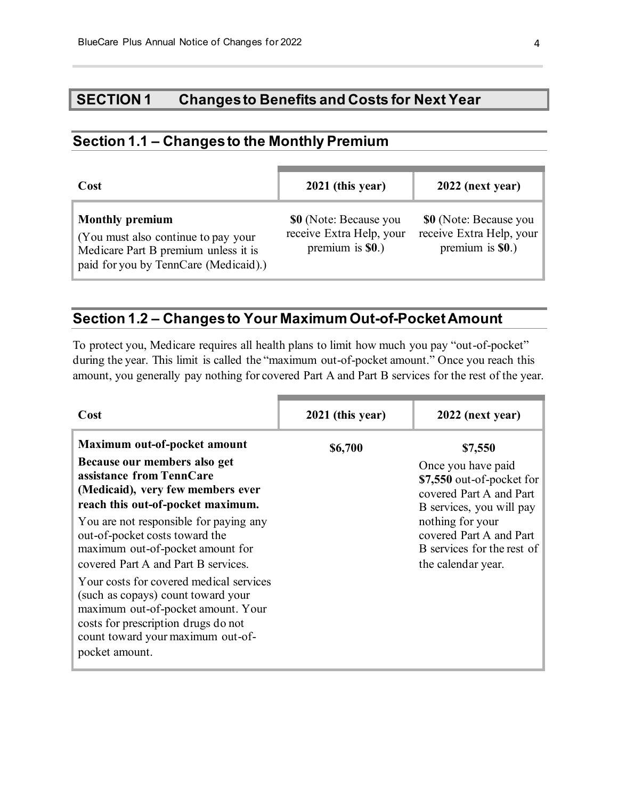# **SECTION 1 Changes to Benefits and Costs for Next Year**

# **Section 1.1 – Changes to the Monthly Premium**

| Cost                                                                                                                                           | 2021 (this year)                                                         | 2022 (next year)                                                         |
|------------------------------------------------------------------------------------------------------------------------------------------------|--------------------------------------------------------------------------|--------------------------------------------------------------------------|
| <b>Monthly premium</b><br>(You must also continue to pay your<br>Medicare Part B premium unless it is<br>paid for you by TennCare (Medicaid).) | \$0 (Note: Because you<br>receive Extra Help, your<br>premium is $$0.$ ) | \$0 (Note: Because you<br>receive Extra Help, your<br>premium is $$0.$ ) |

# **Section 1.2 – Changes to Your Maximum Out-of-Pocket Amount**

To protect you, Medicare requires all health plans to limit how much you pay "out-of-pocket" during the year. This limit is called the "maximum out-of-pocket amount." Once you reach this amount, you generally pay nothing for covered Part A and Part B services for the rest of the year.

| Cost                                                                                                                                                                                                                                                                                                                                                                                                                                                                                                                                           | 2021 (this year) | 2022 (next year)                                                                                                                                                                                                     |
|------------------------------------------------------------------------------------------------------------------------------------------------------------------------------------------------------------------------------------------------------------------------------------------------------------------------------------------------------------------------------------------------------------------------------------------------------------------------------------------------------------------------------------------------|------------------|----------------------------------------------------------------------------------------------------------------------------------------------------------------------------------------------------------------------|
| Maximum out-of-pocket amount<br>Because our members also get<br>assistance from TennCare<br>(Medicaid), very few members ever<br>reach this out-of-pocket maximum.<br>You are not responsible for paying any<br>out-of-pocket costs toward the<br>maximum out-of-pocket amount for<br>covered Part A and Part B services.<br>Your costs for covered medical services<br>(such as copays) count toward your<br>maximum out-of-pocket amount. Your<br>costs for prescription drugs do not<br>count toward your maximum out-of-<br>pocket amount. | \$6,700          | \$7,550<br>Once you have paid<br>\$7,550 out-of-pocket for<br>covered Part A and Part<br>B services, you will pay<br>nothing for your<br>covered Part A and Part<br>B services for the rest of<br>the calendar year. |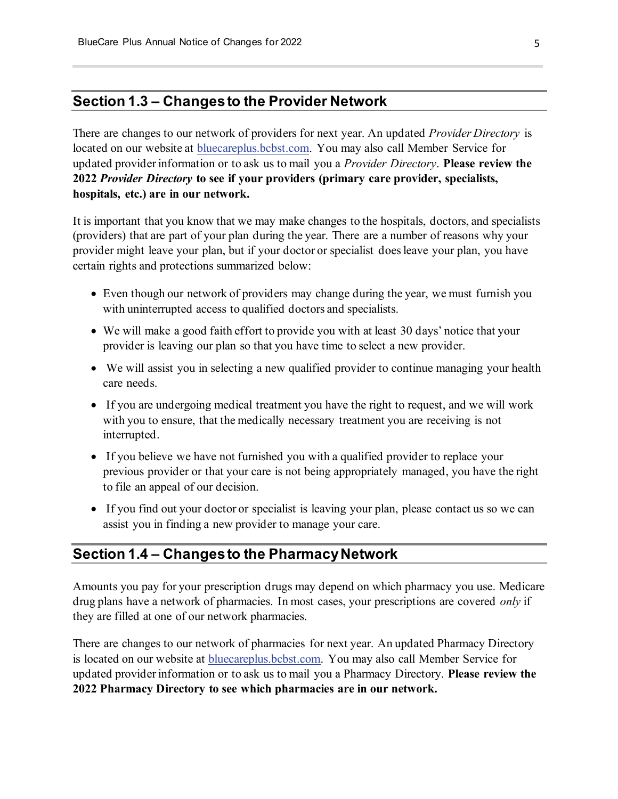## **Section 1.3 – Changes to the Provider Network**

There are changes to our network of providers for next year. An updated *Provider Directory* is located on our website at [bluecareplus.bcbst.com.](https://bluecareplus.bcbst.com/) You may also call Member Service for updated provider information or to ask us to mail you a *Provider Directory*. **Please review the 2022** *Provider Directory* **to see if your providers (primary care provider, specialists, hospitals, etc.) are in our network.**

It is important that you know that we may make changes to the hospitals, doctors, and specialists (providers) that are part of your plan during the year. There are a number of reasons why your provider might leave your plan, but if your doctor or specialist does leave your plan, you have certain rights and protections summarized below:

- Even though our network of providers may change during the year, we must furnish you with uninterrupted access to qualified doctors and specialists.
- We will make a good faith effort to provide you with at least 30 days' notice that your provider is leaving our plan so that you have time to select a new provider.
- We will assist you in selecting a new qualified provider to continue managing your health care needs.
- If you are undergoing medical treatment you have the right to request, and we will work with you to ensure, that the medically necessary treatment you are receiving is not interrupted.
- If you believe we have not furnished you with a qualified provider to replace your previous provider or that your care is not being appropriately managed, you have the right to file an appeal of our decision.
- If you find out your doctor or specialist is leaving your plan, please contact us so we can assist you in finding a new provider to manage your care.

### **Section 1.4 – Changes to the Pharmacy Network**

Amounts you pay for your prescription drugs may depend on which pharmacy you use. Medicare drug plans have a network of pharmacies. In most cases, your prescriptions are covered *only* if they are filled at one of our network pharmacies.

There are changes to our network of pharmacies for next year. An updated Pharmacy Directory is located on our website at **bluecareplus.bcbst.com**. You may also call Member Service for updated provider information or to ask us to mail you a Pharmacy Directory. **Please review the 2022 Pharmacy Directory to see which pharmacies are in our network.**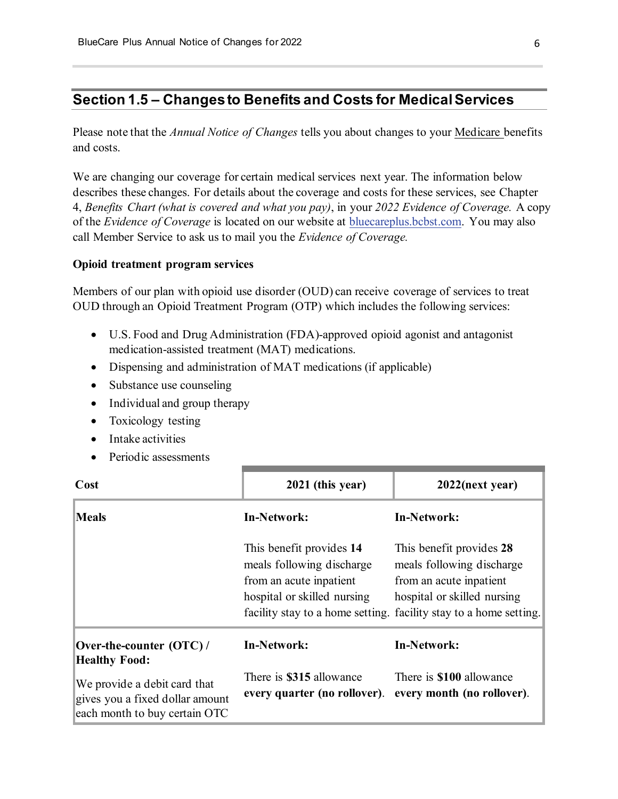# **Section 1.5 – Changes to Benefits and Costs for Medical Services**

Please note that the *Annual Notice of Changes* tells you about changes to your Medicare benefits and costs.

We are changing our coverage for certain medical services next year. The information below describes these changes. For details about the coverage and costs for these services, see Chapter 4, *Benefits Chart (what is covered and what you pay)*, in your *2022 Evidence of Coverage.* A copy of the *Evidence of Coverage* is located on our website at [bluecareplus.bcbst.com.](https://bluecareplus.bcbst.com/) You may also call Member Service to ask us to mail you the *Evidence of Coverage.*

#### **Opioid treatment program services**

Members of our plan with opioid use disorder (OUD) can receive coverage of services to treat OUD through an Opioid Treatment Program (OTP) which includes the following services:

- U.S. Food and Drug Administration (FDA)-approved opioid agonist and antagonist medication-assisted treatment (MAT) medications.
- Dispensing and administration of MAT medications (if applicable)
- Substance use counseling
- Individual and group therapy
- Toxicology testing
- Intake activities
- Periodic assessments

| Cost                                                                                             | 2021 (this year)                                                                                                | $2022$ (next year)                                                                                                                                                                   |
|--------------------------------------------------------------------------------------------------|-----------------------------------------------------------------------------------------------------------------|--------------------------------------------------------------------------------------------------------------------------------------------------------------------------------------|
| <b>Meals</b>                                                                                     | <b>In-Network:</b>                                                                                              | <b>In-Network:</b>                                                                                                                                                                   |
|                                                                                                  | This benefit provides 14<br>meals following discharge<br>from an acute inpatient<br>hospital or skilled nursing | This benefit provides 28<br>meals following discharge<br>from an acute inpatient<br>hospital or skilled nursing<br>facility stay to a home setting. facility stay to a home setting. |
| Over-the-counter (OTC)/<br><b>Healthy Food:</b>                                                  | In-Network:                                                                                                     | <b>In-Network:</b>                                                                                                                                                                   |
| We provide a debit card that<br>gives you a fixed dollar amount<br>each month to buy certain OTC | There is \$315 allowance<br>every quarter (no rollover).                                                        | There is <b>\$100</b> allowance<br>every month (no rollover).                                                                                                                        |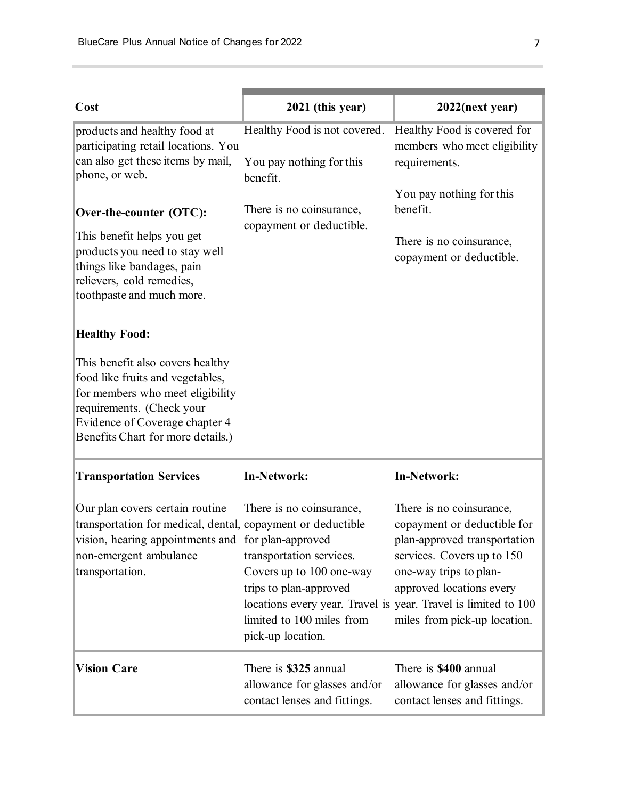| Cost                                                                                                                                                                                                         | 2021 (this year)                                                                                                                                                                                                               | $2022$ (next year)                                                                                                                                                                                          |
|--------------------------------------------------------------------------------------------------------------------------------------------------------------------------------------------------------------|--------------------------------------------------------------------------------------------------------------------------------------------------------------------------------------------------------------------------------|-------------------------------------------------------------------------------------------------------------------------------------------------------------------------------------------------------------|
| products and healthy food at<br>participating retail locations. You                                                                                                                                          | Healthy Food is not covered.                                                                                                                                                                                                   | Healthy Food is covered for<br>members who meet eligibility                                                                                                                                                 |
| can also get these items by mail,<br>phone, or web.                                                                                                                                                          | You pay nothing for this<br>benefit.                                                                                                                                                                                           | requirements.                                                                                                                                                                                               |
| Over-the-counter (OTC):<br>This benefit helps you get<br>products you need to stay well -<br>things like bandages, pain<br>relievers, cold remedies,<br>toothpaste and much more.                            | There is no coinsurance,<br>copayment or deductible.                                                                                                                                                                           | You pay nothing for this<br>benefit.<br>There is no coinsurance,<br>copayment or deductible.                                                                                                                |
| <b>Healthy Food:</b>                                                                                                                                                                                         |                                                                                                                                                                                                                                |                                                                                                                                                                                                             |
| This benefit also covers healthy<br>food like fruits and vegetables,<br>for members who meet eligibility<br>requirements. (Check your<br>Evidence of Coverage chapter 4<br>Benefits Chart for more details.) |                                                                                                                                                                                                                                |                                                                                                                                                                                                             |
| <b>Transportation Services</b>                                                                                                                                                                               | <b>In-Network:</b>                                                                                                                                                                                                             | <b>In-Network:</b>                                                                                                                                                                                          |
| Our plan covers certain routine<br>transportation for medical, dental, copayment or deductible<br>vision, hearing appointments and for plan-approved<br>non-emergent ambulance<br>transportation.            | There is no coinsurance,<br>transportation services.<br>Covers up to 100 one-way<br>trips to plan-approved<br>locations every year. Travel is year. Travel is limited to 100<br>limited to 100 miles from<br>pick-up location. | There is no coinsurance,<br>copayment or deductible for<br>plan-approved transportation<br>services. Covers up to 150<br>one-way trips to plan-<br>approved locations every<br>miles from pick-up location. |
| <b>Vision Care</b>                                                                                                                                                                                           | There is \$325 annual<br>allowance for glasses and/or<br>contact lenses and fittings.                                                                                                                                          | There is \$400 annual<br>allowance for glasses and/or<br>contact lenses and fittings.                                                                                                                       |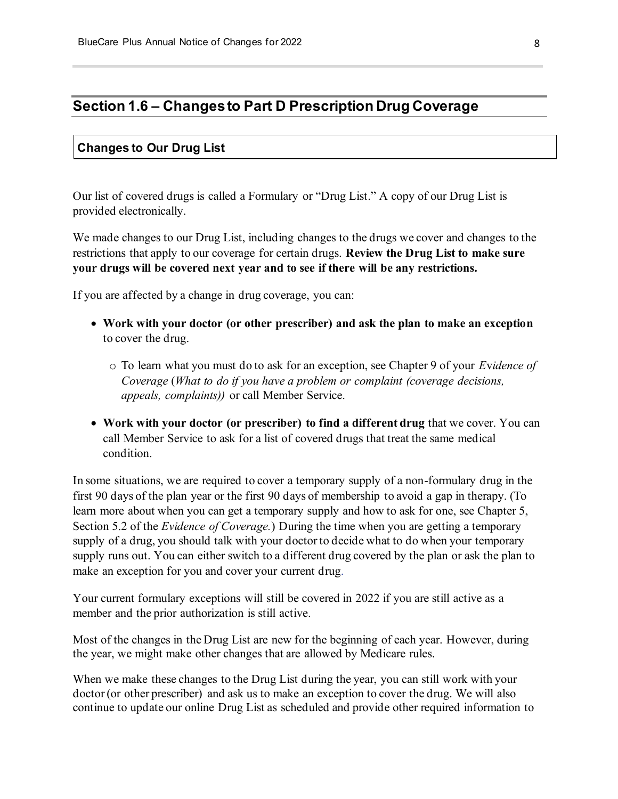### **Section 1.6 – Changes to Part D Prescription Drug Coverage**

#### **Changes to Our Drug List**

Our list of covered drugs is called a Formulary or "Drug List." A copy of our Drug List is provided electronically.

We made changes to our Drug List, including changes to the drugs we cover and changes to the restrictions that apply to our coverage for certain drugs. **Review the Drug List to make sure your drugs will be covered next year and to see if there will be any restrictions.**

If you are affected by a change in drug coverage, you can:

- **Work with your doctor (or other prescriber) and ask the plan to make an exception** to cover the drug.
	- o To learn what you must do to ask for an exception, see Chapter 9 of your *E*v*idence of Coverage* (*What to do if you have a problem or complaint (coverage decisions, appeals, complaints))* or call Member Service.
- **Work with your doctor (or prescriber) to find a different drug** that we cover. You can call Member Service to ask for a list of covered drugs that treat the same medical condition.

In some situations, we are required to cover a temporary supply of a non-formulary drug in the first 90 days of the plan year or the first 90 days of membership to avoid a gap in therapy. (To learn more about when you can get a temporary supply and how to ask for one, see Chapter 5, Section 5.2 of the *Evidence of Coverage.*) During the time when you are getting a temporary supply of a drug, you should talk with your doctor to decide what to do when your temporary supply runs out. You can either switch to a different drug covered by the plan or ask the plan to make an exception for you and cover your current drug.

Your current formulary exceptions will still be covered in 2022 if you are still active as a member and the prior authorization is still active.

Most of the changes in the Drug List are new for the beginning of each year. However, during the year, we might make other changes that are allowed by Medicare rules.

When we make these changes to the Drug List during the year, you can still work with your doctor (or other prescriber) and ask us to make an exception to cover the drug. We will also continue to update our online Drug List as scheduled and provide other required information to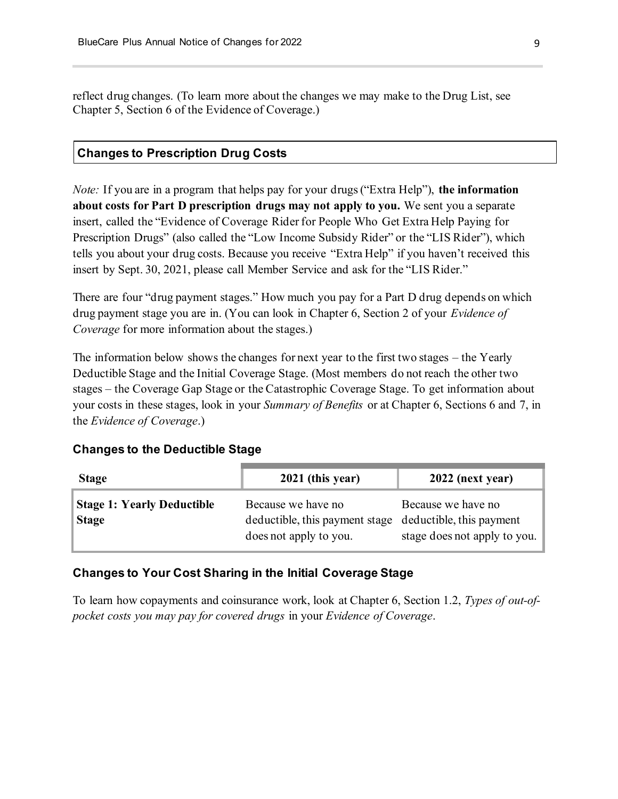reflect drug changes. (To learn more about the changes we may make to the Drug List, see Chapter 5, Section 6 of the Evidence of Coverage.)

#### **Changes to Prescription Drug Costs**

*Note:* If you are in a program that helps pay for your drugs ("Extra Help"), **the information about costs for Part D prescription drugs may not apply to you.** We sent you a separate insert, called the "Evidence of Coverage Rider for People Who Get Extra Help Paying for Prescription Drugs" (also called the "Low Income Subsidy Rider" or the "LIS Rider"), which tells you about your drug costs. Because you receive "Extra Help" if you haven't received this insert by Sept. 30, 2021, please call Member Service and ask for the "LIS Rider."

There are four "drug payment stages." How much you pay for a Part D drug depends on which drug payment stage you are in. (You can look in Chapter 6, Section 2 of your *Evidence of Coverage* for more information about the stages.)

The information below shows the changes for next year to the first two stages – the Yearly Deductible Stage and the Initial Coverage Stage. (Most members do not reach the other two stages – the Coverage Gap Stage or the Catastrophic Coverage Stage. To get information about your costs in these stages, look in your *Summary of Benefits* or at Chapter 6, Sections 6 and 7, in the *Evidence of Coverage*.)

#### **Changes to the Deductible Stage**

| <b>Stage</b>                                      | 2021 (this year)                                                                                        | 2022 (next year)                                   |
|---------------------------------------------------|---------------------------------------------------------------------------------------------------------|----------------------------------------------------|
| <b>Stage 1: Yearly Deductible</b><br><b>Stage</b> | Because we have no<br>deductible, this payment stage deductible, this payment<br>does not apply to you. | Because we have no<br>stage does not apply to you. |

### **Changes to Your Cost Sharing in the Initial Coverage Stage**

To learn how copayments and coinsurance work, look at Chapter 6, Section 1.2, *Types of out-ofpocket costs you may pay for covered drugs* in your *Evidence of Coverage*.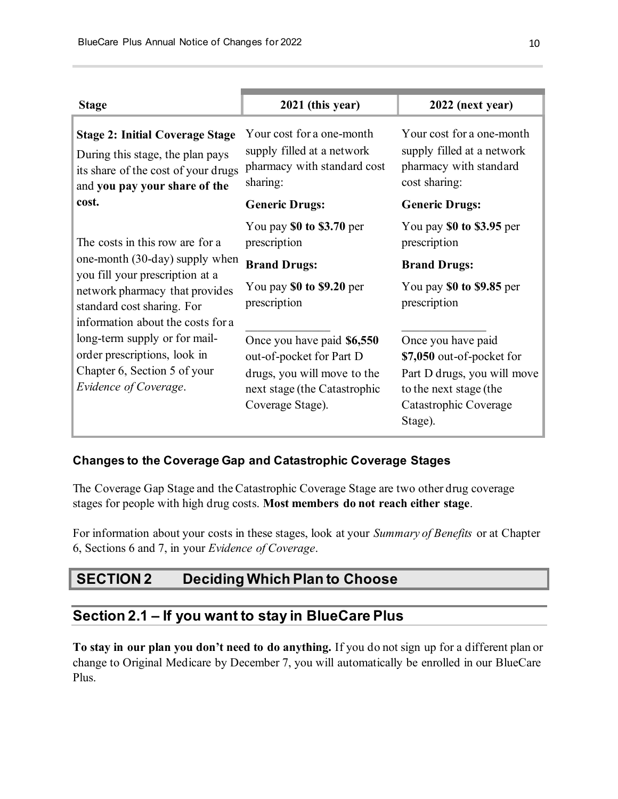| <b>Stage</b>                                                                                                                                                                                                                                                                                                                        | 2021 (this year)                                                                                                                          | 2022 (next year)                                                                                                                             |
|-------------------------------------------------------------------------------------------------------------------------------------------------------------------------------------------------------------------------------------------------------------------------------------------------------------------------------------|-------------------------------------------------------------------------------------------------------------------------------------------|----------------------------------------------------------------------------------------------------------------------------------------------|
| <b>Stage 2: Initial Coverage Stage</b><br>During this stage, the plan pays<br>its share of the cost of your drugs<br>and you pay your share of the                                                                                                                                                                                  | Your cost for a one-month<br>supply filled at a network<br>pharmacy with standard cost<br>sharing:                                        | Your cost for a one-month<br>supply filled at a network<br>pharmacy with standard<br>cost sharing:                                           |
| cost.                                                                                                                                                                                                                                                                                                                               | <b>Generic Drugs:</b>                                                                                                                     | <b>Generic Drugs:</b>                                                                                                                        |
| The costs in this row are for a<br>one-month (30-day) supply when<br>you fill your prescription at a<br>network pharmacy that provides<br>standard cost sharing. For<br>information about the costs for a<br>long-term supply or for mail-<br>order prescriptions, look in<br>Chapter 6, Section 5 of your<br>Evidence of Coverage. | You pay $$0$ to $$3.70$ per<br>prescription                                                                                               | You pay $$0$ to $$3.95$ per<br>prescription                                                                                                  |
|                                                                                                                                                                                                                                                                                                                                     | <b>Brand Drugs:</b>                                                                                                                       | <b>Brand Drugs:</b>                                                                                                                          |
|                                                                                                                                                                                                                                                                                                                                     | You pay \$0 to \$9.20 per<br>prescription                                                                                                 | You pay \$0 to \$9.85 per<br>prescription                                                                                                    |
|                                                                                                                                                                                                                                                                                                                                     | Once you have paid \$6,550<br>out-of-pocket for Part D<br>drugs, you will move to the<br>next stage (the Catastrophic<br>Coverage Stage). | Once you have paid<br>\$7,050 out-of-pocket for<br>Part D drugs, you will move<br>to the next stage (the<br>Catastrophic Coverage<br>Stage). |

### **Changes to the Coverage Gap and Catastrophic Coverage Stages**

The Coverage Gap Stage and the Catastrophic Coverage Stage are two other drug coverage stages for people with high drug costs. **Most members do not reach either stage**.

For information about your costs in these stages, look at your *Summary of Benefits* or at Chapter 6, Sections 6 and 7, in your *Evidence of Coverage*.

# **SECTION 2 Deciding Which Plan to Choose**

### **Section 2.1 – If you want to stay in BlueCare Plus**

**To stay in our plan you don't need to do anything.** If you do not sign up for a different plan or change to Original Medicare by December 7, you will automatically be enrolled in our BlueCare Plus.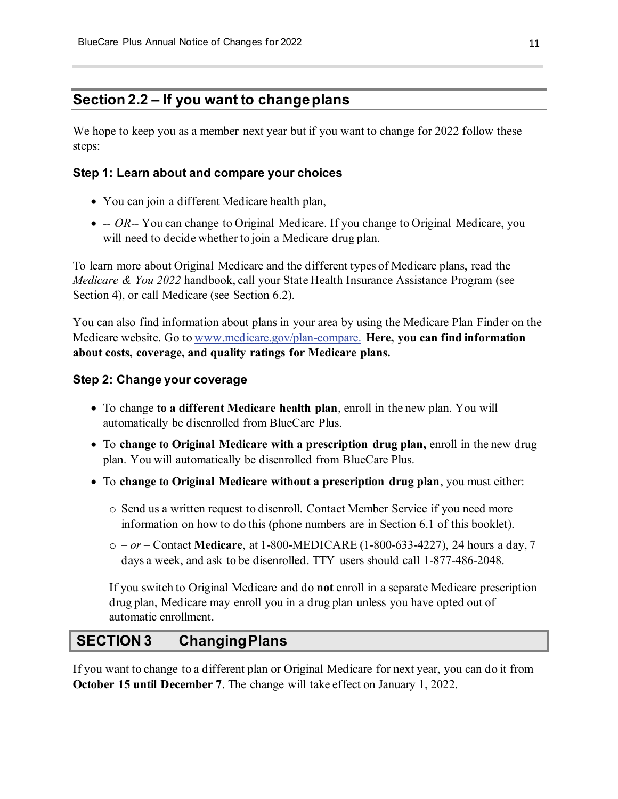# **Section 2.2 – If you want to change plans**

We hope to keep you as a member next year but if you want to change for 2022 follow these steps:

### **Step 1: Learn about and compare your choices**

- You can join a different Medicare health plan,
- - *OR*-- You can change to Original Medicare. If you change to Original Medicare, you will need to decide whether to join a Medicare drug plan.

To learn more about Original Medicare and the different types of Medicare plans, read the *Medicare & You 2022* handbook, call your State Health Insurance Assistance Program (see Section 4), or call Medicare (see Section 6.2).

You can also find information about plans in your area by using the Medicare Plan Finder on the Medicare website. Go to [www.medicare.gov/plan-compare.](https://www.medicare.gov/plan-compare) **Here, you can find information about costs, coverage, and quality ratings for Medicare plans.**

#### **Step 2: Change your coverage**

- To change **to a different Medicare health plan**, enroll in the new plan. You will automatically be disenrolled from BlueCare Plus.
- To **change to Original Medicare with a prescription drug plan,** enroll in the new drug plan. You will automatically be disenrolled from BlueCare Plus.
- To **change to Original Medicare without a prescription drug plan**, you must either:
	- o Send us a written request to disenroll. Contact Member Service if you need more information on how to do this (phone numbers are in Section 6.1 of this booklet).
	- o *– or –* Contact **Medicare**, at 1-800-MEDICARE (1-800-633-4227), 24 hours a day, 7 days a week, and ask to be disenrolled. TTY users should call 1-877-486-2048.

If you switch to Original Medicare and do **not** enroll in a separate Medicare prescription drug plan, Medicare may enroll you in a drug plan unless you have opted out of automatic enrollment.

# **SECTION 3 Changing Plans**

If you want to change to a different plan or Original Medicare for next year, you can do it from **October 15 until December 7**. The change will take effect on January 1, 2022.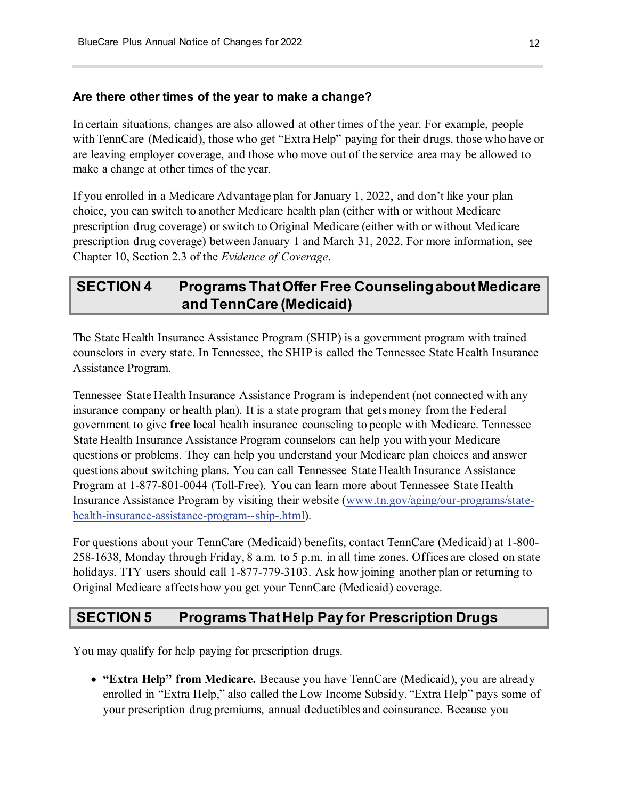#### **Are there other times of the year to make a change?**

In certain situations, changes are also allowed at other times of the year. For example, people with TennCare (Medicaid), those who get "Extra Help" paying for their drugs, those who have or are leaving employer coverage, and those who move out of the service area may be allowed to make a change at other times of the year.

If you enrolled in a Medicare Advantage plan for January 1, 2022, and don't like your plan choice, you can switch to another Medicare health plan (either with or without Medicare prescription drug coverage) or switch to Original Medicare (either with or without Medicare prescription drug coverage) between January 1 and March 31, 2022. For more information, see Chapter 10, Section 2.3 of the *Evidence of Coverage*.

# **SECTION 4 Programs That Offer Free Counseling about Medicare and TennCare (Medicaid)**

The State Health Insurance Assistance Program (SHIP) is a government program with trained counselors in every state. In Tennessee, the SHIP is called the Tennessee State Health Insurance Assistance Program.

Tennessee State Health Insurance Assistance Program is independent (not connected with any insurance company or health plan). It is a state program that gets money from the Federal government to give **free** local health insurance counseling to people with Medicare. Tennessee State Health Insurance Assistance Program counselors can help you with your Medicare questions or problems. They can help you understand your Medicare plan choices and answer questions about switching plans. You can call Tennessee State Health Insurance Assistance Program at 1-877-801-0044 (Toll-Free). You can learn more about Tennessee State Health Insurance Assistance Program by visiting their website [\(www.tn.gov/aging/our-programs/state](https://www.tn.gov/aging/our-programs/state-health-insurance-assistance-program--ship-.html)[health-insurance-assistance-program--ship-.html\).](https://www.tn.gov/aging/our-programs/state-health-insurance-assistance-program--ship-.html)

For questions about your TennCare (Medicaid) benefits, contact TennCare (Medicaid) at 1-800- 258-1638, Monday through Friday, 8 a.m. to 5 p.m. in all time zones. Offices are closed on state holidays. TTY users should call 1-877-779-3103. Ask how joining another plan or returning to Original Medicare affects how you get your TennCare (Medicaid) coverage.

## **SECTION 5 Programs That Help Pay for Prescription Drugs**

You may qualify for help paying for prescription drugs.

• **"Extra Help" from Medicare.** Because you have TennCare (Medicaid), you are already enrolled in "Extra Help," also called the Low Income Subsidy. "Extra Help" pays some of your prescription drug premiums, annual deductibles and coinsurance. Because you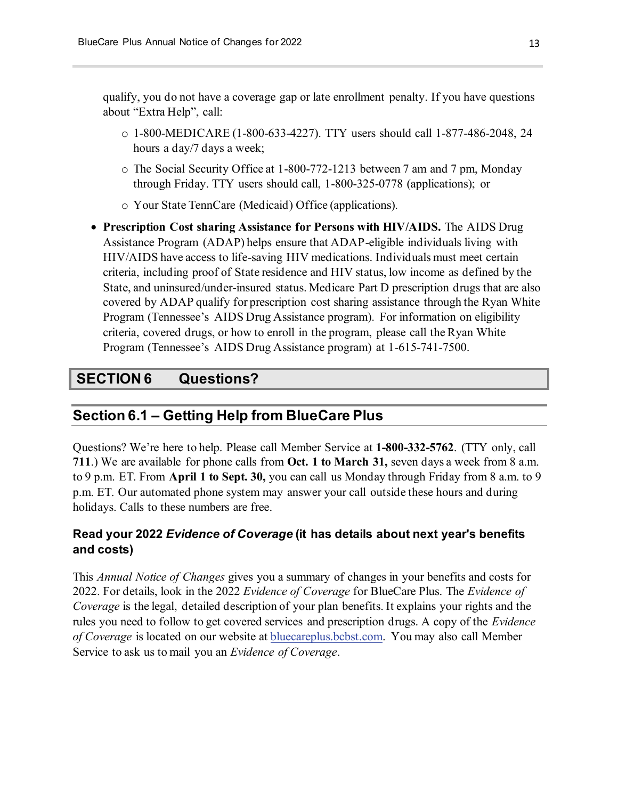qualify, you do not have a coverage gap or late enrollment penalty. If you have questions about "Extra Help", call:

- o 1-800-MEDICARE (1-800-633-4227). TTY users should call 1-877-486-2048, 24 hours a day/7 days a week;
- o The Social Security Office at 1-800-772-1213 between 7 am and 7 pm, Monday through Friday. TTY users should call, 1-800-325-0778 (applications); or
- o Your State TennCare (Medicaid) Office (applications).
- **Prescription Cost sharing Assistance for Persons with HIV/AIDS.** The AIDS Drug Assistance Program (ADAP) helps ensure that ADAP-eligible individuals living with HIV/AIDS have access to life-saving HIV medications. Individuals must meet certain criteria, including proof of State residence and HIV status, low income as defined by the State, and uninsured/under-insured status. Medicare Part D prescription drugs that are also covered by ADAP qualify for prescription cost sharing assistance through the Ryan White Program (Tennessee's AIDS Drug Assistance program)*.* For information on eligibility criteria, covered drugs, or how to enroll in the program, please call the Ryan White Program (Tennessee's AIDS Drug Assistance program) at 1-615-741-7500.

### **SECTION 6 Questions?**

### **Section 6.1 – Getting Help from BlueCare Plus**

Questions? We're here to help. Please call Member Service at **1-800-332-5762**. (TTY only, call **711**.) We are available for phone calls from **Oct. 1 to March 31,** seven days a week from 8 a.m. to 9 p.m. ET. From **April 1 to Sept. 30,** you can call us Monday through Friday from 8 a.m. to 9 p.m. ET. Our automated phone system may answer your call outside these hours and during holidays. Calls to these numbers are free.

### **Read your 2022** *Evidence of Coverage* **(it has details about next year's benefits and costs)**

This *Annual Notice of Changes* gives you a summary of changes in your benefits and costs for 2022. For details, look in the 2022 *Evidence of Coverage* for BlueCare Plus. The *Evidence of Coverage* is the legal, detailed description of your plan benefits. It explains your rights and the rules you need to follow to get covered services and prescription drugs. A copy of the *Evidence of Coverage* is located on our website at [bluecareplus.bcbst.com.](https://bluecareplus.bcbst.com/) You may also call Member Service to ask us to mail you an *Evidence of Coverage*.